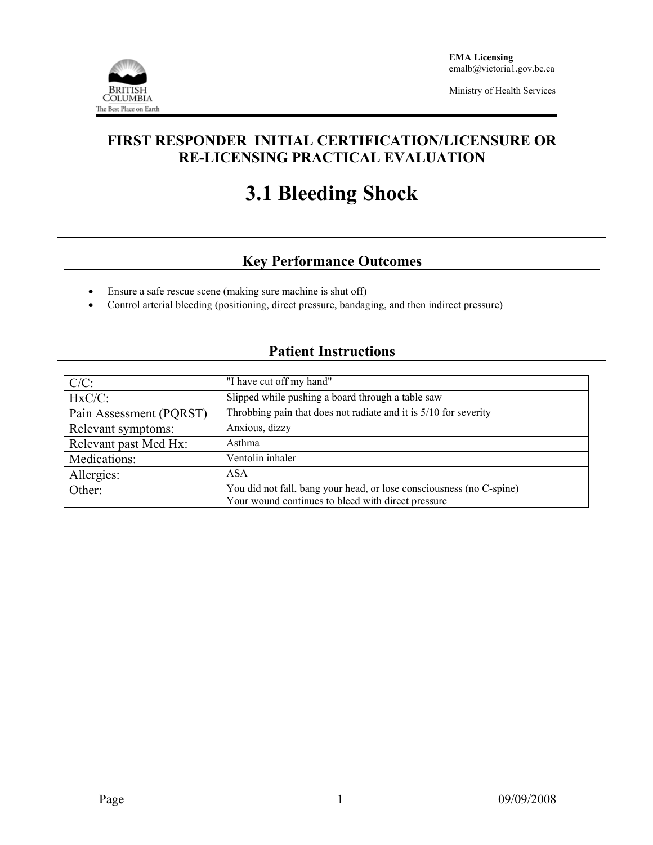

Ministry of Health Services

## **FIRST RESPONDER INITIAL CERTIFICATION/LICENSURE OR RE-LICENSING PRACTICAL EVALUATION**

# **3.1 Bleeding Shock**

# **Key Performance Outcomes**

- Ensure a safe rescue scene (making sure machine is shut off)
- Control arterial bleeding (positioning, direct pressure, bandaging, and then indirect pressure)

### **Patient Instructions**

| $C/C$ :                 | "I have cut off my hand"                                                                                                   |  |  |  |
|-------------------------|----------------------------------------------------------------------------------------------------------------------------|--|--|--|
| $HxC/C$ :               | Slipped while pushing a board through a table saw                                                                          |  |  |  |
| Pain Assessment (PQRST) | Throbbing pain that does not radiate and it is 5/10 for severity                                                           |  |  |  |
| Relevant symptoms:      | Anxious, dizzy                                                                                                             |  |  |  |
| Relevant past Med Hx:   | Asthma                                                                                                                     |  |  |  |
| Medications:            | Ventolin inhaler                                                                                                           |  |  |  |
| Allergies:              | <b>ASA</b>                                                                                                                 |  |  |  |
| Other:                  | You did not fall, bang your head, or lose consciousness (no C-spine)<br>Your wound continues to bleed with direct pressure |  |  |  |